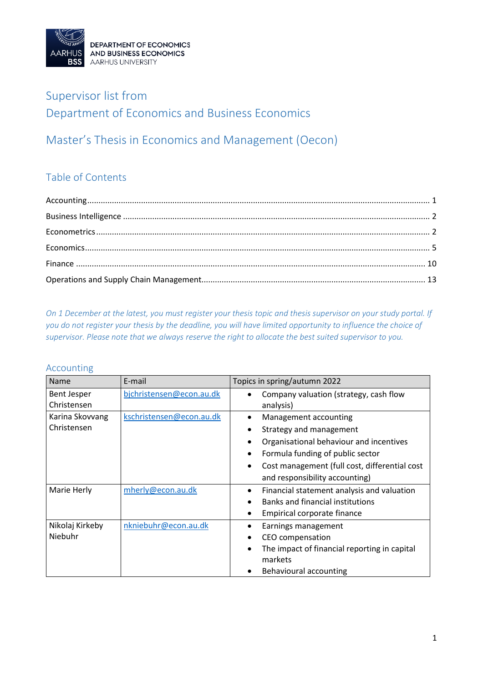

### Supervisor list from Department of Economics and Business Economics

### Master's Thesis in Economics and Management (Oecon)

### Table of Contents

*On 1 December at the latest, you must register your thesis topic and thesis supervisor on your study portal. If you do not register your thesis by the deadline, you will have limited opportunity to influence the choice of supervisor. Please note that we always reserve the right to allocate the best suited supervisor to you.*

#### <span id="page-0-0"></span>Accounting

| <b>Name</b>                       | E-mail                   | Topics in spring/autumn 2022                                       |
|-----------------------------------|--------------------------|--------------------------------------------------------------------|
| <b>Bent Jesper</b><br>Christensen | bjchristensen@econ.au.dk | Company valuation (strategy, cash flow<br>analysis)                |
| Karina Skovvang<br>Christensen    | kschristensen@econ.au.dk | Management accounting                                              |
|                                   |                          | Strategy and management<br>Organisational behaviour and incentives |
|                                   |                          | Formula funding of public sector                                   |
|                                   |                          | Cost management (full cost, differential cost                      |
|                                   |                          | and responsibility accounting)                                     |
| Marie Herly                       | mherly@econ.au.dk        | Financial statement analysis and valuation<br>٠                    |
|                                   |                          | <b>Banks and financial institutions</b>                            |
|                                   |                          | Empirical corporate finance                                        |
| Nikolaj Kirkeby                   | nkniebuhr@econ.au.dk     | Earnings management                                                |
| Niebuhr                           |                          | CEO compensation                                                   |
|                                   |                          | The impact of financial reporting in capital<br>markets            |
|                                   |                          | Behavioural accounting                                             |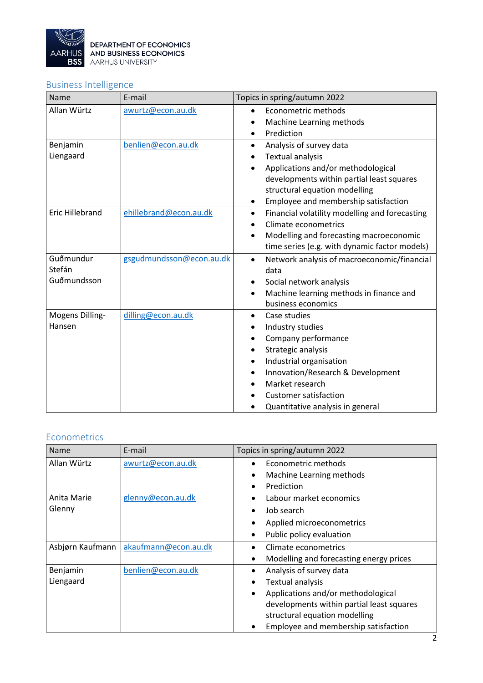

### <span id="page-1-0"></span>Business Intelligence

| Name                               | E-mail                   | Topics in spring/autumn 2022                                                                                                                                                                                                                                   |
|------------------------------------|--------------------------|----------------------------------------------------------------------------------------------------------------------------------------------------------------------------------------------------------------------------------------------------------------|
| Allan Würtz                        | awurtz@econ.au.dk        | Econometric methods<br>$\bullet$<br>Machine Learning methods<br>Prediction                                                                                                                                                                                     |
| Benjamin<br>Liengaard              | benlien@econ.au.dk       | Analysis of survey data<br>$\bullet$<br><b>Textual analysis</b><br>Applications and/or methodological<br>developments within partial least squares<br>structural equation modelling<br>Employee and membership satisfaction<br>$\bullet$                       |
| <b>Eric Hillebrand</b>             | ehillebrand@econ.au.dk   | Financial volatility modelling and forecasting<br>$\bullet$<br>Climate econometrics<br>Modelling and forecasting macroeconomic<br>$\bullet$<br>time series (e.g. with dynamic factor models)                                                                   |
| Guðmundur<br>Stefán<br>Guðmundsson | gsgudmundsson@econ.au.dk | Network analysis of macroeconomic/financial<br>$\bullet$<br>data<br>Social network analysis<br>$\bullet$<br>Machine learning methods in finance and<br>business economics                                                                                      |
| Mogens Dilling-<br>Hansen          | dilling@econ.au.dk       | Case studies<br>$\bullet$<br>Industry studies<br>Company performance<br>Strategic analysis<br>Industrial organisation<br>Innovation/Research & Development<br>$\bullet$<br>Market research<br><b>Customer satisfaction</b><br>Quantitative analysis in general |

#### <span id="page-1-1"></span>Econometrics

| Name             | E-mail               | Topics in spring/autumn 2022                         |
|------------------|----------------------|------------------------------------------------------|
| Allan Würtz      | awurtz@econ.au.dk    | Econometric methods                                  |
|                  |                      | Machine Learning methods<br>$\bullet$                |
|                  |                      | Prediction                                           |
| Anita Marie      | glenny@econ.au.dk    | Labour market economics                              |
| Glenny           |                      | Job search<br>$\bullet$                              |
|                  |                      | Applied microeconometrics                            |
|                  |                      | Public policy evaluation                             |
| Asbjørn Kaufmann | akaufmann@econ.au.dk | Climate econometrics                                 |
|                  |                      | Modelling and forecasting energy prices<br>$\bullet$ |
| Benjamin         | benlien@econ.au.dk   | Analysis of survey data<br>٠                         |
| Liengaard        |                      | <b>Textual analysis</b><br>$\bullet$                 |
|                  |                      | Applications and/or methodological                   |
|                  |                      | developments within partial least squares            |
|                  |                      | structural equation modelling                        |
|                  |                      | Employee and membership satisfaction                 |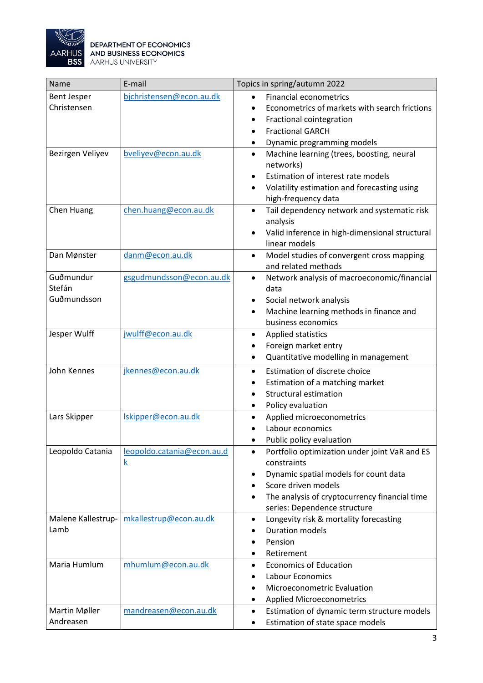

| Name                | E-mail                     | Topics in spring/autumn 2022                                                        |
|---------------------|----------------------------|-------------------------------------------------------------------------------------|
| <b>Bent Jesper</b>  | bjchristensen@econ.au.dk   | <b>Financial econometrics</b>                                                       |
| Christensen         |                            | Econometrics of markets with search frictions                                       |
|                     |                            | Fractional cointegration<br>٠                                                       |
|                     |                            | <b>Fractional GARCH</b><br>$\bullet$                                                |
|                     |                            | Dynamic programming models                                                          |
| Bezirgen Veliyev    | bveliyev@econ.au.dk        | Machine learning (trees, boosting, neural<br>$\bullet$                              |
|                     |                            | networks)                                                                           |
|                     |                            | Estimation of interest rate models<br>$\bullet$                                     |
|                     |                            | Volatility estimation and forecasting using<br>$\bullet$                            |
|                     |                            | high-frequency data                                                                 |
| Chen Huang          | chen.huang@econ.au.dk      | Tail dependency network and systematic risk<br>$\bullet$                            |
|                     |                            | analysis                                                                            |
|                     |                            | Valid inference in high-dimensional structural<br>٠                                 |
|                     |                            | linear models                                                                       |
| Dan Mønster         | danm@econ.au.dk            | Model studies of convergent cross mapping<br>$\bullet$                              |
|                     |                            | and related methods                                                                 |
| Guðmundur<br>Stefán | gsgudmundsson@econ.au.dk   | Network analysis of macroeconomic/financial<br>$\bullet$                            |
| Guðmundsson         |                            | data                                                                                |
|                     |                            | Social network analysis<br>٠                                                        |
|                     |                            | Machine learning methods in finance and<br>$\bullet$<br>business economics          |
|                     |                            |                                                                                     |
| Jesper Wulff        | jwulff@econ.au.dk          | Applied statistics<br>$\bullet$                                                     |
|                     |                            | Foreign market entry                                                                |
|                     |                            | Quantitative modelling in management<br>$\bullet$                                   |
| John Kennes         | jkennes@econ.au.dk         | Estimation of discrete choice<br>$\bullet$                                          |
|                     |                            | Estimation of a matching market<br>$\bullet$                                        |
|                     |                            | <b>Structural estimation</b>                                                        |
|                     |                            | Policy evaluation                                                                   |
| Lars Skipper        | Iskipper@econ.au.dk        | Applied microeconometrics<br>$\bullet$                                              |
|                     |                            | Labour economics                                                                    |
|                     |                            | Public policy evaluation                                                            |
| Leopoldo Catania    | leopoldo.catania@econ.au.d | Portfolio optimization under joint VaR and ES<br>٠                                  |
|                     | <u>k</u>                   | constraints                                                                         |
|                     |                            | Dynamic spatial models for count data<br>٠<br>Score driven models                   |
|                     |                            | $\bullet$                                                                           |
|                     |                            | The analysis of cryptocurrency financial time                                       |
| Malene Kallestrup-  | mkallestrup@econ.au.dk     | series: Dependence structure<br>Longevity risk & mortality forecasting<br>$\bullet$ |
| Lamb                |                            | <b>Duration models</b>                                                              |
|                     |                            | Pension                                                                             |
|                     |                            | Retirement                                                                          |
| Maria Humlum        | mhumlum@econ.au.dk         | <b>Economics of Education</b><br>$\bullet$                                          |
|                     |                            | Labour Economics                                                                    |
|                     |                            | Microeconometric Evaluation                                                         |
|                     |                            | <b>Applied Microeconometrics</b><br>٠                                               |
| Martin Møller       | mandreasen@econ.au.dk      | Estimation of dynamic term structure models<br>$\bullet$                            |
| Andreasen           |                            |                                                                                     |
|                     |                            | Estimation of state space models<br>٠                                               |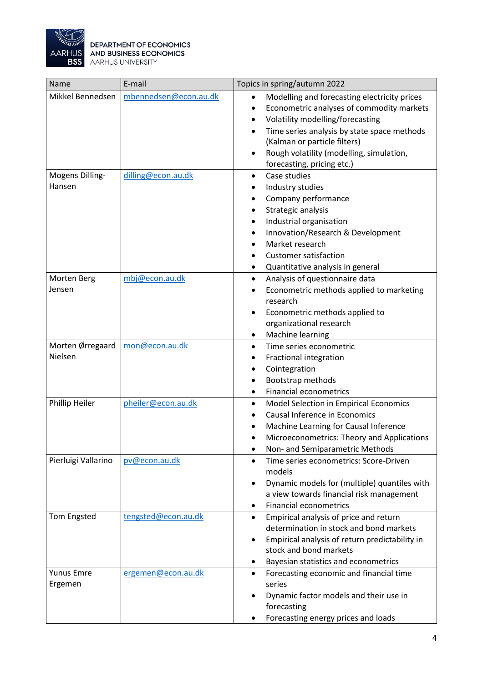

| Name                         | E-mail                | Topics in spring/autumn 2022                                                                                                                                                                                                                                                                                                                            |
|------------------------------|-----------------------|---------------------------------------------------------------------------------------------------------------------------------------------------------------------------------------------------------------------------------------------------------------------------------------------------------------------------------------------------------|
| Mikkel Bennedsen             | mbennedsen@econ.au.dk | Modelling and forecasting electricity prices<br>$\bullet$<br>Econometric analyses of commodity markets<br>$\bullet$<br>Volatility modelling/forecasting<br>$\bullet$<br>Time series analysis by state space methods<br>$\bullet$<br>(Kalman or particle filters)<br>Rough volatility (modelling, simulation,<br>$\bullet$<br>forecasting, pricing etc.) |
| Mogens Dilling-<br>Hansen    | dilling@econ.au.dk    | Case studies<br>$\bullet$<br>Industry studies<br>Company performance<br>Strategic analysis<br>Industrial organisation<br>Innovation/Research & Development<br>Market research<br><b>Customer satisfaction</b><br>Quantitative analysis in general                                                                                                       |
| Morten Berg<br>Jensen        | mbj@econ.au.dk        | Analysis of questionnaire data<br>$\bullet$<br>Econometric methods applied to marketing<br>research<br>Econometric methods applied to<br>$\bullet$<br>organizational research<br>Machine learning<br>٠                                                                                                                                                  |
| Morten Ørregaard<br>Nielsen  | mon@econ.au.dk        | Time series econometric<br>$\bullet$<br>Fractional integration<br>Cointegration<br>Bootstrap methods<br><b>Financial econometrics</b><br>$\bullet$                                                                                                                                                                                                      |
| Phillip Heiler               | pheiler@econ.au.dk    | Model Selection in Empirical Economics<br>$\bullet$<br>Causal Inference in Economics<br>Machine Learning for Causal Inference<br>Microeconometrics: Theory and Applications<br>Non- and Semiparametric Methods<br>٠                                                                                                                                     |
| Pierluigi Vallarino          | pv@econ.au.dk         | Time series econometrics: Score-Driven<br>$\bullet$<br>models<br>Dynamic models for (multiple) quantiles with<br>a view towards financial risk management<br><b>Financial econometrics</b>                                                                                                                                                              |
| <b>Tom Engsted</b>           | tengsted@econ.au.dk   | Empirical analysis of price and return<br>$\bullet$<br>determination in stock and bond markets<br>Empirical analysis of return predictability in<br>٠<br>stock and bond markets<br>Bayesian statistics and econometrics<br>$\bullet$                                                                                                                    |
| <b>Yunus Emre</b><br>Ergemen | ergemen@econ.au.dk    | Forecasting economic and financial time<br>$\bullet$<br>series<br>Dynamic factor models and their use in<br>forecasting<br>Forecasting energy prices and loads                                                                                                                                                                                          |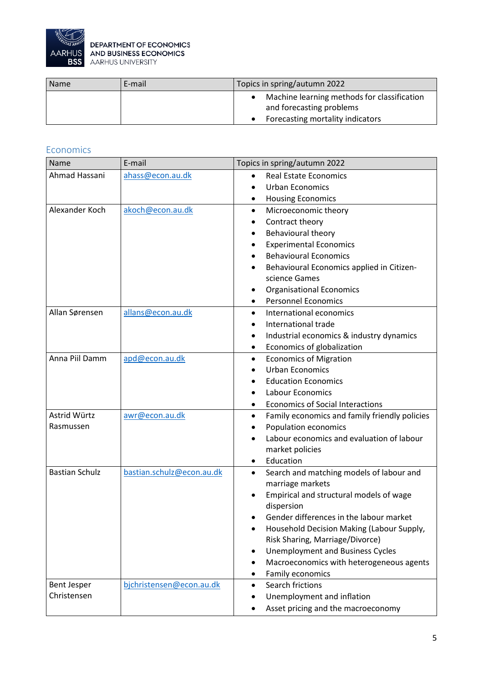

| <b>Name</b> | E-mail | Topics in spring/autumn 2022                                            |
|-------------|--------|-------------------------------------------------------------------------|
|             |        | Machine learning methods for classification<br>and forecasting problems |
|             |        | Forecasting mortality indicators                                        |

#### <span id="page-4-0"></span>Economics

| Name                  | E-mail                    | Topics in spring/autumn 2022                               |
|-----------------------|---------------------------|------------------------------------------------------------|
| Ahmad Hassani         | ahass@econ.au.dk          | <b>Real Estate Economics</b>                               |
|                       |                           | <b>Urban Economics</b>                                     |
|                       |                           | <b>Housing Economics</b><br>٠                              |
| Alexander Koch        | akoch@econ.au.dk          | Microeconomic theory<br>$\bullet$                          |
|                       |                           | Contract theory                                            |
|                       |                           | Behavioural theory                                         |
|                       |                           | <b>Experimental Economics</b>                              |
|                       |                           | <b>Behavioural Economics</b>                               |
|                       |                           | Behavioural Economics applied in Citizen-<br>٠             |
|                       |                           | science Games                                              |
|                       |                           | <b>Organisational Economics</b>                            |
|                       |                           | <b>Personnel Economics</b>                                 |
| Allan Sørensen        | allans@econ.au.dk         | International economics<br>$\bullet$                       |
|                       |                           | International trade                                        |
|                       |                           | Industrial economics & industry dynamics<br>٠              |
|                       |                           | Economics of globalization<br>٠                            |
| Anna Piil Damm        | apd@econ.au.dk            | <b>Economics of Migration</b><br>$\bullet$                 |
|                       |                           | <b>Urban Economics</b>                                     |
|                       |                           | <b>Education Economics</b>                                 |
|                       |                           | Labour Economics                                           |
|                       |                           | <b>Economics of Social Interactions</b><br>٠               |
| Astrid Würtz          | awr@econ.au.dk            | Family economics and family friendly policies<br>$\bullet$ |
| Rasmussen             |                           | Population economics                                       |
|                       |                           | Labour economics and evaluation of labour                  |
|                       |                           | market policies                                            |
|                       |                           | Education                                                  |
| <b>Bastian Schulz</b> | bastian.schulz@econ.au.dk | Search and matching models of labour and<br>$\bullet$      |
|                       |                           | marriage markets                                           |
|                       |                           | Empirical and structural models of wage                    |
|                       |                           | dispersion                                                 |
|                       |                           | Gender differences in the labour market                    |
|                       |                           | Household Decision Making (Labour Supply,                  |
|                       |                           | Risk Sharing, Marriage/Divorce)                            |
|                       |                           | <b>Unemployment and Business Cycles</b><br>٠               |
|                       |                           | Macroeconomics with heterogeneous agents                   |
|                       |                           | Family economics                                           |
| <b>Bent Jesper</b>    | bjchristensen@econ.au.dk  | Search frictions<br>$\bullet$                              |
| Christensen           |                           | Unemployment and inflation                                 |
|                       |                           | Asset pricing and the macroeconomy                         |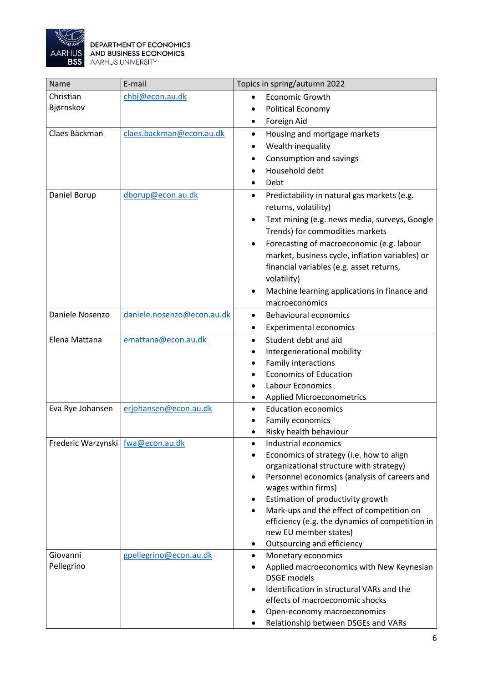

| Name                              | E-mail                     | Topics in spring/autumn 2022                                                                |
|-----------------------------------|----------------------------|---------------------------------------------------------------------------------------------|
| Christian                         | chbj@econ.au.dk            | <b>Economic Growth</b>                                                                      |
| Bjørnskov                         |                            | Political Economy                                                                           |
|                                   |                            | Foreign Aid                                                                                 |
| Claes Bäckman                     | claes.backman@econ.au.dk   | Housing and mortgage markets<br>$\bullet$                                                   |
|                                   |                            | Wealth inequality<br>$\bullet$                                                              |
|                                   |                            | Consumption and savings<br>٠                                                                |
|                                   |                            | Household debt                                                                              |
|                                   |                            | Debt                                                                                        |
| Daniel Borup                      | dborup@econ.au.dk          | Predictability in natural gas markets (e.g.<br>$\bullet$<br>returns, volatility)            |
|                                   |                            | Text mining (e.g. news media, surveys, Google<br>$\bullet$                                  |
|                                   |                            | Trends) for commodities markets                                                             |
|                                   |                            | Forecasting of macroeconomic (e.g. labour                                                   |
|                                   |                            | market, business cycle, inflation variables) or<br>financial variables (e.g. asset returns, |
|                                   |                            | volatility)                                                                                 |
|                                   |                            | Machine learning applications in finance and                                                |
|                                   |                            | macroeconomics                                                                              |
| Daniele Nosenzo                   | daniele.nosenzo@econ.au.dk | <b>Behavioural economics</b><br>$\bullet$                                                   |
|                                   |                            | <b>Experimental economics</b><br>٠                                                          |
| Elena Mattana                     | emattana@econ.au.dk        | Student debt and aid<br>$\bullet$                                                           |
|                                   |                            | Intergenerational mobility                                                                  |
|                                   |                            | Family interactions                                                                         |
|                                   |                            | <b>Economics of Education</b>                                                               |
|                                   |                            | Labour Economics                                                                            |
|                                   |                            | <b>Applied Microeconometrics</b>                                                            |
| Eva Rye Johansen                  | erjohansen@econ.au.dk      | <b>Education economics</b><br>Family economics                                              |
|                                   |                            | Risky health behaviour                                                                      |
| Frederic Warzynski fwa@econ.au.dk |                            | Industrial economics                                                                        |
|                                   |                            | Economics of strategy (i.e. how to align                                                    |
|                                   |                            | organizational structure with strategy)                                                     |
|                                   |                            | Personnel economics (analysis of careers and                                                |
|                                   |                            | wages within firms)                                                                         |
|                                   |                            | Estimation of productivity growth                                                           |
|                                   |                            | Mark-ups and the effect of competition on                                                   |
|                                   |                            | efficiency (e.g. the dynamics of competition in                                             |
|                                   |                            | new EU member states)                                                                       |
|                                   |                            | Outsourcing and efficiency<br>٠                                                             |
| Giovanni<br>Pellegrino            | gpellegrino@econ.au.dk     | Monetary economics<br>٠                                                                     |
|                                   |                            | Applied macroeconomics with New Keynesian<br><b>DSGE</b> models                             |
|                                   |                            | Identification in structural VARs and the                                                   |
|                                   |                            | effects of macroeconomic shocks                                                             |
|                                   |                            | Open-economy macroeconomics                                                                 |
|                                   |                            | Relationship between DSGEs and VARs                                                         |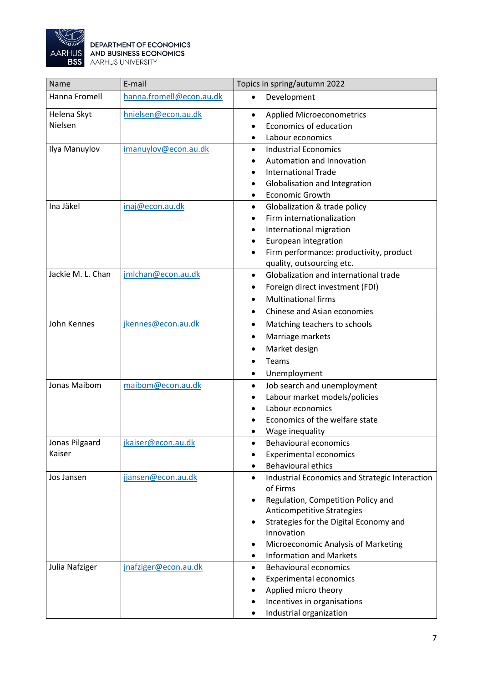

| Name              | E-mail                   | Topics in spring/autumn 2022                                            |
|-------------------|--------------------------|-------------------------------------------------------------------------|
| Hanna Fromell     | hanna.fromell@econ.au.dk | Development<br>$\bullet$                                                |
| Helena Skyt       | hnielsen@econ.au.dk      | <b>Applied Microeconometrics</b><br>$\bullet$                           |
| Nielsen           |                          | Economics of education                                                  |
|                   |                          | Labour economics                                                        |
| Ilya Manuylov     | imanuylov@econ.au.dk     | <b>Industrial Economics</b><br>$\bullet$                                |
|                   |                          | Automation and Innovation                                               |
|                   |                          | <b>International Trade</b>                                              |
|                   |                          | Globalisation and Integration                                           |
|                   |                          | <b>Economic Growth</b><br>٠                                             |
| Ina Jäkel         | inaj@econ.au.dk          | Globalization & trade policy<br>$\bullet$                               |
|                   |                          | Firm internationalization                                               |
|                   |                          | International migration<br>$\bullet$                                    |
|                   |                          | European integration                                                    |
|                   |                          | Firm performance: productivity, product                                 |
|                   |                          | quality, outsourcing etc.                                               |
| Jackie M. L. Chan | jmlchan@econ.au.dk       | Globalization and international trade<br>$\bullet$                      |
|                   |                          | Foreign direct investment (FDI)                                         |
|                   |                          | <b>Multinational firms</b>                                              |
|                   |                          | Chinese and Asian economies                                             |
| John Kennes       | jkennes@econ.au.dk       | Matching teachers to schools<br>$\bullet$                               |
|                   |                          | Marriage markets<br>٠                                                   |
|                   |                          | Market design                                                           |
|                   |                          | Teams                                                                   |
|                   |                          | Unemployment<br>٠                                                       |
| Jonas Maibom      | maibom@econ.au.dk        | Job search and unemployment<br>$\bullet$                                |
|                   |                          | Labour market models/policies                                           |
|                   |                          | Labour economics                                                        |
|                   |                          | Economics of the welfare state                                          |
|                   |                          | Wage inequality                                                         |
| Jonas Pilgaard    | jkaiser@econ.au.dk       | <b>Behavioural economics</b>                                            |
| Kaiser            |                          | <b>Experimental economics</b>                                           |
|                   |                          | <b>Behavioural ethics</b>                                               |
| Jos Jansen        | jjansen@econ.au.dk       | Industrial Economics and Strategic Interaction<br>$\bullet$<br>of Firms |
|                   |                          | Regulation, Competition Policy and<br>٠                                 |
|                   |                          | Anticompetitive Strategies                                              |
|                   |                          | Strategies for the Digital Economy and                                  |
|                   |                          | Innovation                                                              |
|                   |                          | Microeconomic Analysis of Marketing<br>$\bullet$                        |
|                   |                          | <b>Information and Markets</b>                                          |
| Julia Nafziger    | jnafziger@econ.au.dk     | <b>Behavioural economics</b><br>٠                                       |
|                   |                          | <b>Experimental economics</b>                                           |
|                   |                          | Applied micro theory                                                    |
|                   |                          | Incentives in organisations                                             |
|                   |                          | Industrial organization                                                 |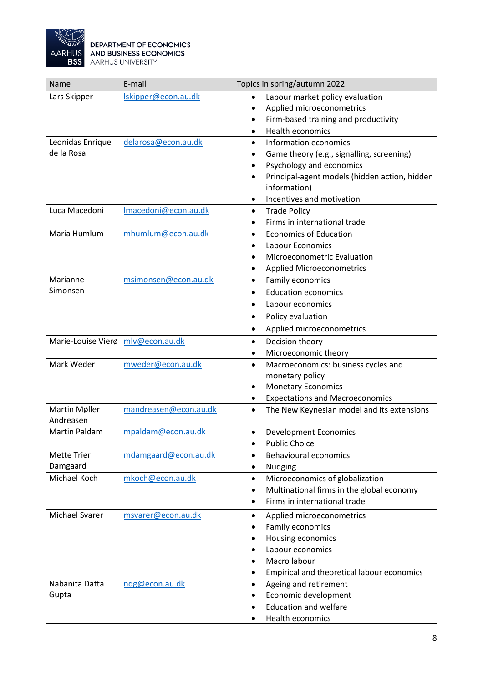

| Name               | E-mail                | Topics in spring/autumn 2022                               |
|--------------------|-----------------------|------------------------------------------------------------|
| Lars Skipper       | Iskipper@econ.au.dk   | Labour market policy evaluation<br>$\bullet$               |
|                    |                       | Applied microeconometrics<br>$\bullet$                     |
|                    |                       | Firm-based training and productivity<br>٠                  |
|                    |                       | <b>Health economics</b><br>$\bullet$                       |
| Leonidas Enrique   | delarosa@econ.au.dk   | Information economics<br>$\bullet$                         |
| de la Rosa         |                       | Game theory (e.g., signalling, screening)<br>$\bullet$     |
|                    |                       | Psychology and economics<br>$\bullet$                      |
|                    |                       | Principal-agent models (hidden action, hidden<br>$\bullet$ |
|                    |                       | information)                                               |
|                    |                       | Incentives and motivation<br>$\bullet$                     |
| Luca Macedoni      | Imacedoni@econ.au.dk  | <b>Trade Policy</b><br>$\bullet$                           |
|                    |                       | Firms in international trade<br>$\bullet$                  |
| Maria Humlum       | mhumlum@econ.au.dk    | <b>Economics of Education</b><br>$\bullet$                 |
|                    |                       | Labour Economics<br>$\bullet$                              |
|                    |                       | Microeconometric Evaluation                                |
|                    |                       | <b>Applied Microeconometrics</b>                           |
| Marianne           | msimonsen@econ.au.dk  | Family economics<br>$\bullet$                              |
| Simonsen           |                       | <b>Education economics</b>                                 |
|                    |                       | Labour economics<br>$\bullet$                              |
|                    |                       | Policy evaluation                                          |
|                    |                       | Applied microeconometrics<br>٠                             |
| Marie-Louise Vierø | mlv@econ.au.dk        | Decision theory<br>$\bullet$                               |
|                    |                       | Microeconomic theory<br>٠                                  |
| Mark Weder         | mweder@econ.au.dk     | Macroeconomics: business cycles and<br>$\bullet$           |
|                    |                       | monetary policy                                            |
|                    |                       | <b>Monetary Economics</b><br>٠                             |
|                    |                       | <b>Expectations and Macroeconomics</b>                     |
| Martin Møller      | mandreasen@econ.au.dk | The New Keynesian model and its extensions<br>$\bullet$    |
| Andreasen          |                       |                                                            |
| Martin Paldam      | mpaldam@econ.au.dk    | <b>Development Economics</b><br>$\bullet$                  |
|                    |                       | <b>Public Choice</b><br>$\bullet$                          |
| <b>Mette Trier</b> | mdamgaard@econ.au.dk  | <b>Behavioural economics</b><br>$\bullet$                  |
| Damgaard           |                       | Nudging<br>$\bullet$                                       |
| Michael Koch       | mkoch@econ.au.dk      | Microeconomics of globalization<br>$\bullet$               |
|                    |                       | Multinational firms in the global economy<br>$\bullet$     |
|                    |                       | Firms in international trade<br>$\bullet$                  |
| Michael Svarer     | msvarer@econ.au.dk    | Applied microeconometrics<br>$\bullet$                     |
|                    |                       | Family economics                                           |
|                    |                       | Housing economics                                          |
|                    |                       | Labour economics                                           |
|                    |                       | Macro labour                                               |
|                    |                       | Empirical and theoretical labour economics<br>٠            |
| Nabanita Datta     | ndg@econ.au.dk        | Ageing and retirement<br>$\bullet$                         |
| Gupta              |                       | Economic development                                       |
|                    |                       | <b>Education and welfare</b>                               |
|                    |                       | Health economics                                           |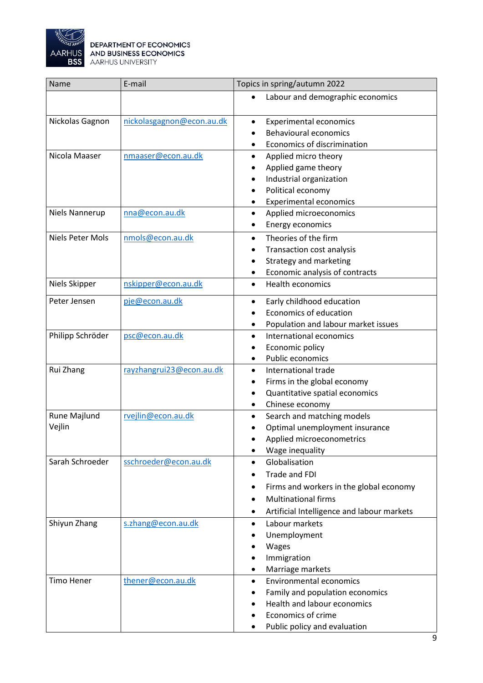

 $\mathbf{r}$ 

| Name              | E-mail                    | Topics in spring/autumn 2022                            |
|-------------------|---------------------------|---------------------------------------------------------|
|                   |                           | Labour and demographic economics                        |
| Nickolas Gagnon   | nickolasgagnon@econ.au.dk | <b>Experimental economics</b><br>$\bullet$              |
|                   |                           | <b>Behavioural economics</b>                            |
|                   |                           | Economics of discrimination                             |
| Nicola Maaser     | nmaaser@econ.au.dk        | Applied micro theory<br>$\bullet$                       |
|                   |                           | Applied game theory<br>٠                                |
|                   |                           | Industrial organization<br>٠                            |
|                   |                           | Political economy                                       |
|                   |                           | <b>Experimental economics</b>                           |
| Niels Nannerup    | nna@econ.au.dk            | Applied microeconomics<br>$\bullet$                     |
|                   |                           | Energy economics<br>$\bullet$                           |
| Niels Peter Mols  | nmols@econ.au.dk          | Theories of the firm<br>$\bullet$                       |
|                   |                           | Transaction cost analysis<br>٠                          |
|                   |                           | Strategy and marketing                                  |
|                   |                           | Economic analysis of contracts<br>$\bullet$             |
| Niels Skipper     | nskipper@econ.au.dk       | <b>Health economics</b><br>$\bullet$                    |
| Peter Jensen      | pje@econ.au.dk            | Early childhood education<br>$\bullet$                  |
|                   |                           | Economics of education                                  |
|                   |                           | Population and labour market issues<br>٠                |
| Philipp Schröder  | psc@econ.au.dk            | International economics<br>$\bullet$                    |
|                   |                           | Economic policy<br>٠                                    |
|                   |                           | Public economics<br>$\bullet$                           |
| Rui Zhang         | rayzhangrui23@econ.au.dk  | International trade<br>$\bullet$                        |
|                   |                           | Firms in the global economy<br>٠                        |
|                   |                           | Quantitative spatial economics<br>$\bullet$             |
|                   |                           | Chinese economy<br>٠                                    |
| Rune Majlund      | rvejlin@econ.au.dk        | Search and matching models<br>$\bullet$                 |
| Vejlin            |                           | Optimal unemployment insurance                          |
|                   |                           | Applied microeconometrics                               |
|                   |                           | Wage inequality                                         |
| Sarah Schroeder   | sschroeder@econ.au.dk     | Globalisation<br>$\bullet$                              |
|                   |                           | Trade and FDI                                           |
|                   |                           | Firms and workers in the global economy                 |
|                   |                           | <b>Multinational firms</b>                              |
|                   |                           | Artificial Intelligence and labour markets<br>$\bullet$ |
| Shiyun Zhang      | s.zhang@econ.au.dk        | Labour markets<br>$\bullet$                             |
|                   |                           | Unemployment                                            |
|                   |                           | Wages                                                   |
|                   |                           | Immigration                                             |
|                   |                           | Marriage markets<br>٠                                   |
| <b>Timo Hener</b> | thener@econ.au.dk         | <b>Environmental economics</b><br>$\bullet$             |
|                   |                           | Family and population economics                         |
|                   |                           | Health and labour economics                             |
|                   |                           | Economics of crime                                      |
|                   |                           | Public policy and evaluation                            |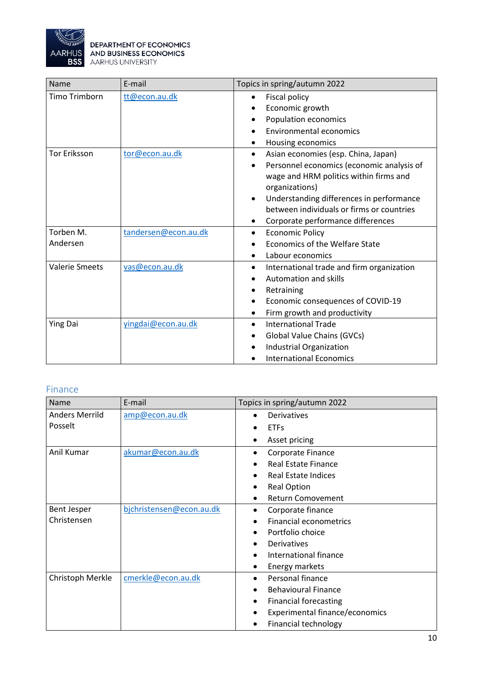

| Name                  | E-mail               | Topics in spring/autumn 2022                           |
|-----------------------|----------------------|--------------------------------------------------------|
| Timo Trimborn         | tt@econ.au.dk        | Fiscal policy<br>$\bullet$                             |
|                       |                      | Economic growth                                        |
|                       |                      | Population economics                                   |
|                       |                      | Environmental economics                                |
|                       |                      | Housing economics                                      |
| <b>Tor Eriksson</b>   | tor@econ.au.dk       | Asian economies (esp. China, Japan)<br>$\bullet$       |
|                       |                      | Personnel economics (economic analysis of              |
|                       |                      | wage and HRM politics within firms and                 |
|                       |                      | organizations)                                         |
|                       |                      | Understanding differences in performance<br>$\bullet$  |
|                       |                      | between individuals or firms or countries              |
|                       |                      | Corporate performance differences<br>٠                 |
| Torben M.             | tandersen@econ.au.dk | <b>Economic Policy</b><br>$\bullet$                    |
| Andersen              |                      | Economics of the Welfare State                         |
|                       |                      | Labour economics<br>$\bullet$                          |
| <b>Valerie Smeets</b> | vas@econ.au.dk       | International trade and firm organization<br>$\bullet$ |
|                       |                      | <b>Automation and skills</b>                           |
|                       |                      | Retraining                                             |
|                       |                      | Economic consequences of COVID-19                      |
|                       |                      | Firm growth and productivity                           |
| <b>Ying Dai</b>       | vingdai@econ.au.dk   | <b>International Trade</b><br>$\bullet$                |
|                       |                      | Global Value Chains (GVCs)                             |
|                       |                      | Industrial Organization                                |
|                       |                      | <b>International Economics</b>                         |

#### <span id="page-9-0"></span>Finance

| Name                  | E-mail                   | Topics in spring/autumn 2022              |
|-----------------------|--------------------------|-------------------------------------------|
| <b>Anders Merrild</b> | amp@econ.au.dk           | Derivatives                               |
| Posselt               |                          | <b>ETFs</b>                               |
|                       |                          | Asset pricing                             |
| Anil Kumar            | akumar@econ.au.dk        | Corporate Finance<br>$\bullet$            |
|                       |                          | <b>Real Estate Finance</b>                |
|                       |                          | Real Estate Indices                       |
|                       |                          | <b>Real Option</b><br>٠                   |
|                       |                          | <b>Return Comovement</b>                  |
| <b>Bent Jesper</b>    | bjchristensen@econ.au.dk | Corporate finance<br>$\bullet$            |
| Christensen           |                          | <b>Financial econometrics</b>             |
|                       |                          | Portfolio choice                          |
|                       |                          | Derivatives                               |
|                       |                          | International finance                     |
|                       |                          | Energy markets                            |
| Christoph Merkle      | cmerkle@econ.au.dk       | Personal finance<br>$\bullet$             |
|                       |                          | <b>Behavioural Finance</b>                |
|                       |                          | <b>Financial forecasting</b><br>$\bullet$ |
|                       |                          | Experimental finance/economics            |
|                       |                          | Financial technology                      |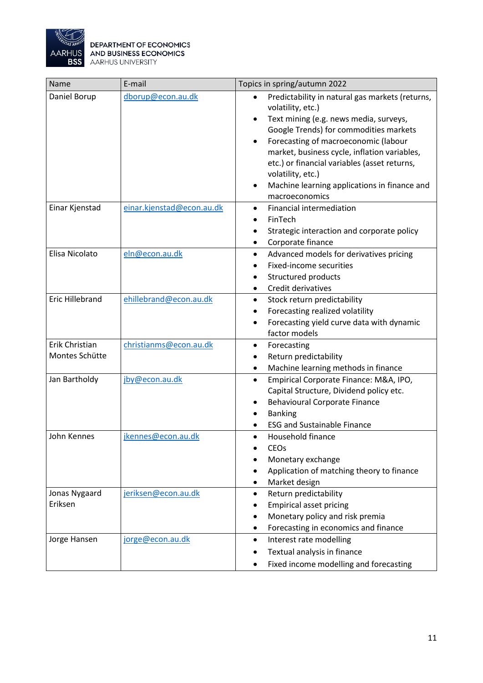

| Name                             | E-mail                    | Topics in spring/autumn 2022                                                                                                                                                                                                                                                                                                                                                                         |
|----------------------------------|---------------------------|------------------------------------------------------------------------------------------------------------------------------------------------------------------------------------------------------------------------------------------------------------------------------------------------------------------------------------------------------------------------------------------------------|
| Daniel Borup                     | dborup@econ.au.dk         | Predictability in natural gas markets (returns,<br>volatility, etc.)<br>Text mining (e.g. news media, surveys,<br>Google Trends) for commodities markets<br>Forecasting of macroeconomic (labour<br>$\bullet$<br>market, business cycle, inflation variables,<br>etc.) or financial variables (asset returns,<br>volatility, etc.)<br>Machine learning applications in finance and<br>macroeconomics |
| Einar Kjenstad                   | einar.kjenstad@econ.au.dk | Financial intermediation<br>FinTech<br>Strategic interaction and corporate policy<br>Corporate finance                                                                                                                                                                                                                                                                                               |
| Elisa Nicolato                   | eln@econ.au.dk            | Advanced models for derivatives pricing<br>$\bullet$<br>Fixed-income securities<br>Structured products<br>Credit derivatives                                                                                                                                                                                                                                                                         |
| <b>Eric Hillebrand</b>           | ehillebrand@econ.au.dk    | Stock return predictability<br>$\bullet$<br>Forecasting realized volatility<br>Forecasting yield curve data with dynamic<br>factor models                                                                                                                                                                                                                                                            |
| Erik Christian<br>Montes Schütte | christianms@econ.au.dk    | Forecasting<br>٠<br>Return predictability<br>٠<br>Machine learning methods in finance                                                                                                                                                                                                                                                                                                                |
| Jan Bartholdy                    | jby@econ.au.dk            | Empirical Corporate Finance: M&A, IPO,<br>$\bullet$<br>Capital Structure, Dividend policy etc.<br><b>Behavioural Corporate Finance</b><br><b>Banking</b><br><b>ESG and Sustainable Finance</b>                                                                                                                                                                                                       |
| John Kennes                      | <u>jkennes@econ.au.dk</u> | Household finance<br><b>CEOs</b><br>Monetary exchange<br>Application of matching theory to finance<br>Market design                                                                                                                                                                                                                                                                                  |
| Jonas Nygaard<br>Eriksen         | jeriksen@econ.au.dk       | Return predictability<br><b>Empirical asset pricing</b><br>Monetary policy and risk premia<br>Forecasting in economics and finance                                                                                                                                                                                                                                                                   |
| Jorge Hansen                     | jorge@econ.au.dk          | Interest rate modelling<br>Textual analysis in finance<br>Fixed income modelling and forecasting                                                                                                                                                                                                                                                                                                     |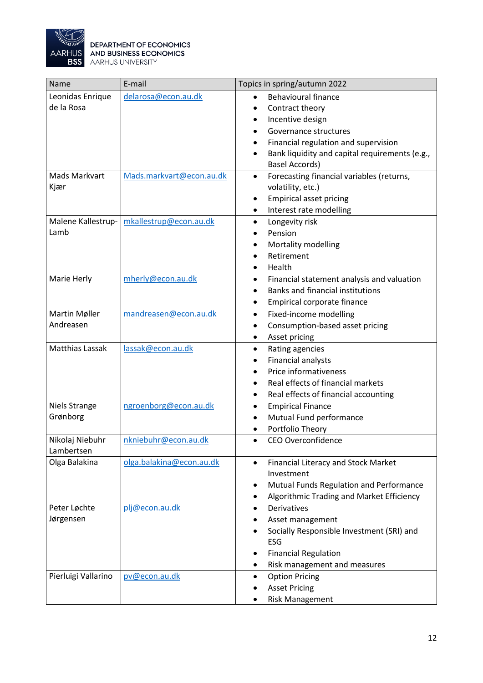

| Name                   | E-mail                   | Topics in spring/autumn 2022                                |
|------------------------|--------------------------|-------------------------------------------------------------|
| Leonidas Enrique       | delarosa@econ.au.dk      | <b>Behavioural finance</b>                                  |
| de la Rosa             |                          | Contract theory<br>$\bullet$                                |
|                        |                          | Incentive design<br>$\bullet$                               |
|                        |                          | Governance structures                                       |
|                        |                          | Financial regulation and supervision                        |
|                        |                          | Bank liquidity and capital requirements (e.g.,<br>$\bullet$ |
|                        |                          | <b>Basel Accords)</b>                                       |
| <b>Mads Markvart</b>   | Mads.markvart@econ.au.dk | Forecasting financial variables (returns,<br>$\bullet$      |
| Kjær                   |                          | volatility, etc.)                                           |
|                        |                          | <b>Empirical asset pricing</b><br>$\bullet$                 |
|                        |                          | Interest rate modelling                                     |
| Malene Kallestrup-     | mkallestrup@econ.au.dk   | Longevity risk<br>$\bullet$                                 |
| Lamb                   |                          | Pension                                                     |
|                        |                          | Mortality modelling<br>٠                                    |
|                        |                          | Retirement                                                  |
|                        |                          | Health                                                      |
| Marie Herly            | mherly@econ.au.dk        | Financial statement analysis and valuation<br>$\bullet$     |
|                        |                          | Banks and financial institutions                            |
|                        |                          | Empirical corporate finance<br>$\bullet$                    |
| Martin Møller          | mandreasen@econ.au.dk    | Fixed-income modelling<br>$\bullet$                         |
| Andreasen              |                          | Consumption-based asset pricing<br>$\bullet$                |
|                        |                          | Asset pricing<br>$\bullet$                                  |
| <b>Matthias Lassak</b> | lassak@econ.au.dk        | Rating agencies<br>$\bullet$                                |
|                        |                          | Financial analysts<br>$\bullet$                             |
|                        |                          | Price informativeness                                       |
|                        |                          | Real effects of financial markets                           |
|                        |                          | Real effects of financial accounting                        |
| <b>Niels Strange</b>   | ngroenborg@econ.au.dk    | <b>Empirical Finance</b><br>٠                               |
| Grønborg               |                          | Mutual Fund performance                                     |
|                        |                          | Portfolio Theory                                            |
| Nikolaj Niebuhr        | nkniebuhr@econ.au.dk     | CEO Overconfidence                                          |
| Lambertsen             |                          |                                                             |
| Olga Balakina          | olga.balakina@econ.au.dk | Financial Literacy and Stock Market<br>$\bullet$            |
|                        |                          | Investment                                                  |
|                        |                          | Mutual Funds Regulation and Performance<br>$\bullet$        |
|                        |                          | Algorithmic Trading and Market Efficiency                   |
| Peter Løchte           | plj@econ.au.dk           | Derivatives<br>$\bullet$                                    |
| Jørgensen              |                          | Asset management                                            |
|                        |                          | Socially Responsible Investment (SRI) and                   |
|                        |                          | ESG                                                         |
|                        |                          | <b>Financial Regulation</b><br>$\bullet$                    |
|                        |                          | Risk management and measures                                |
| Pierluigi Vallarino    | pv@econ.au.dk            | <b>Option Pricing</b><br>٠                                  |
|                        |                          | <b>Asset Pricing</b>                                        |
|                        |                          | <b>Risk Management</b>                                      |